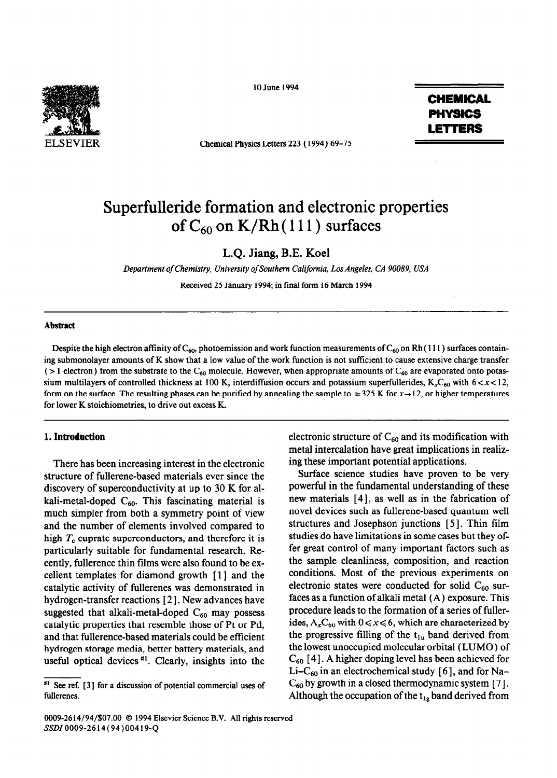

10 June 1994

Chemical Physics Letters 223 (1994) 69-75

CHEMICAL PHYSICS LETTERS

# Superfulleride formation and electronic properties of  $C_{60}$  on K/Rh(111) surfaces

L.Q. Jiang, B.E. Koel

*Department of Chemistry, University of Southern California, Los Angeles, CA 90089, USA* 

Received 25 January 1994; in final form 16 March 1994

#### **Abstract**

Despite the high electron affinity of C<sub>60</sub>, photoemission and work function measurements of C<sub>60</sub> on Rh (111) surfaces containing submonolayer amounts of K show that a low value of the work function is not sufftcient to cause extensive charge transfer ( $>$ 1 electron) from the substrate to the C<sub>60</sub> molecule. However, when appropriate amounts of C<sub>60</sub> are evaporated onto potassium multilayers of controlled thickness at 100 K, interdiffusion occurs and potassium superfullerides,  $K_xC_{60}$  with  $6 < x < 12$ , form on the surface. The resulting phases can be purified by annealing the sample to  $\approx 325$  K for  $x \rightarrow 12$ , or higher temperatures for lower K stoichiometries, to drive out excess K.

## **1. Introduction**

There has been increasing interest in the electronic structure of fullerene-based materials ever since the discovery of superconductivity at up to 30 K for alkali-metal-doped  $C_{60}$ . This fascinating material is much simpler from both a symmetry point of view and the number of elements involved compared to high  $T_c$  cuprate superconductors, and therefore it is particularly suitable for fundamental research. Recently, fullerence thin films were also found to be excellent templates for diamond growth [ **1 ]** and the catalytic activity of fullerenes was demonstrated in hydrogen-transfer reactions [ 2 1. New advances have suggested that alkali-metal-doped  $C_{60}$  may possess catalytic properties that resemble those of Pt or Pd, and that fullerence-based materials could be efficient hydrogen storage media, better battery materials, and useful optical devices  $*$ <sup>1</sup>. Clearly, insights into the electronic structure of  $C_{60}$  and its modification with metal intercalation have great implications in realizing these important potential applications.

Surface science studies have proven to be very powerful in the fundamental understanding of these new materials [4], as well as in the fabrication of novel devices such as fullerene-based quantum well structures and Josephson junctions [5]. Thin film studies do have limitations in some cases but they offer great control of many important factors such as the sample cleanliness, composition, and reaction conditions. Most of the previous experiments on electronic states were conducted for solid  $C_{60}$  surfaces as a function of alkali metal (A) exposure. This procedure leads to the formation of a series of fullerides,  $A_xC_{60}$  with  $0 \le x \le 6$ , which are characterized by the progressive filling of the  $t_{1u}$  band derived from the lowest unoccupied molecular orbital (LUMO) of CsO [ **41.** A higher doping level has been achieved for Li-C<sub>60</sub> in an electrochemical study [6], and for Na- $C_{60}$  by growth in a closed thermodynamic system [7]. Although the occupation of the  $t_{1g}$  band derived from

*<sup>#&#</sup>x27; See* ref. [ *31* for a discussion of potential commercial uses of fullerenes.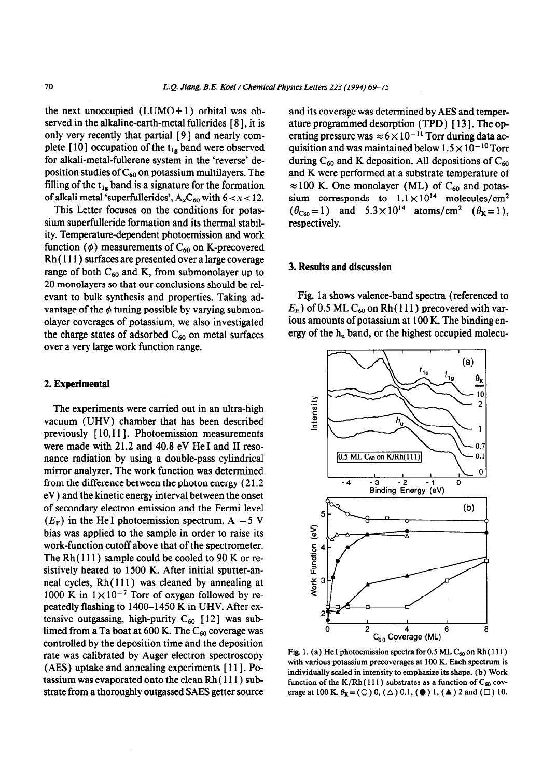the next unoccupied  $(LUMO+1)$  orbital was observed in the alkaline-earth-metal fullerides [8], it is only very recently that partial [9] and nearly complete [10] occupation of the  $t_{1g}$  band were observed for alkali-metal-fullerene system in the 'reverse' deposition studies of  $C_{60}$  on potassium multilayers. The filling of the  $t_{1g}$  band is a signature for the formation of alkali metal 'superfullerides',  $A_x C_{60}$  with  $6 < x < 12$ .

This Letter focuses on the conditions for potassium superfulleride formation and its thermal stability. Temperature-dependent photoemission and work function ( $\phi$ ) measurements of C<sub>60</sub> on K-precovered Rh ( 111) surfaces are presented over a large coverage range of both  $C_{60}$  and K, from submonolayer up to 20 monolayers so that our conclusions should be relevant to bulk synthesis and properties. Taking advantage of the  $\phi$  tuning possible by varying submonolayer coverages of potassium, we also investigated the charge states of adsorbed  $C_{60}$  on metal surfaces over a very large work function range.

#### 2. **Experimental**

The experiments were carried out in an ultra-high vacuum (UHV) chamber that has been described previously [ 10,111. Photoemission measurements were made with 21.2 and 40.8 eV He I and II resonance radiation by using a double-pass cylindrical mirror analyzer. The work function was determined from the difference between the photon energy  $(21.2)$ eV) and the kinetic energy interval between the onset of secondary electron emission and the Fermi level  $(E_F)$  in the He I photoemission spectrum. A - 5 V bias was applied to the sample in order to raise its work-function cutoff above that of the spectrometer. The Rh(111) sample could be cooled to 90 K or resistively heated to 1500 K. After initial sputter-anneal cycles, Rh( 111) was cleaned by annealing at 1000 K in  $1 \times 10^{-7}$  Torr of oxygen followed by repeatedly flashing to 1400-1450 K in UHV. After extensive outgassing, high-purity  $C_{60}$  [12] was sublimed from a Ta boat at 600 K. The  $C_{60}$  coverage was controlled by the deposition time and the deposition rate was calibrated by Auger electron spectroscopy (AES) uptake and annealing experiments [ 111. Potassium was evaporated onto the clean Rh ( 111) substrate from a thoroughly outgassed SAES getter source

and its coverage was determined by AES and temperature programmed desorption (TPD) [13]. The operating pressure was  $\approx 6 \times 10^{-11}$  Torr during data acquisition and was maintained below  $1.5 \times 10^{-10}$  Torr during  $C_{60}$  and K deposition. All depositions of  $C_{60}$ and K were performed at a substrate temperature of  $\approx$  100 K. One monolayer (ML) of C<sub>60</sub> and potassium corresponds to  $1.1 \times 10^{14}$  molecules/cm<sup>2</sup>  $(\theta_{\text{Cso}}=1)$  and  $5.3\times10^{14}$  atoms/cm<sup>2</sup>  $(\theta_{\text{K}}=1)$ , respectively.

#### 3. **Results and discussion**

Fig. 1 a shows valence-band spectra (referenced to  $E_F$ ) of 0.5 ML C<sub>60</sub> on Rh (111) precovered with various amounts of potassium at 100 K. The binding energy of the  $h_u$  band, or the highest occupied molecu-



Fig. 1. (a) He I photoemission spectra for  $0.5$  ML  $C_{60}$  on Rh $(111)$ with various potassium precoverages at 100 K. **Each** spectrum is individually scaled in intensity to emphasize its shape. (b) Work function of the K/Rh(111) substrates as a function of  $C_{60}$  coverage at 100 K.  $\theta_K = (0, 0, (\triangle) 0.1, (\triangle) 1, (\triangle) 2$  and  $(\square) 10$ .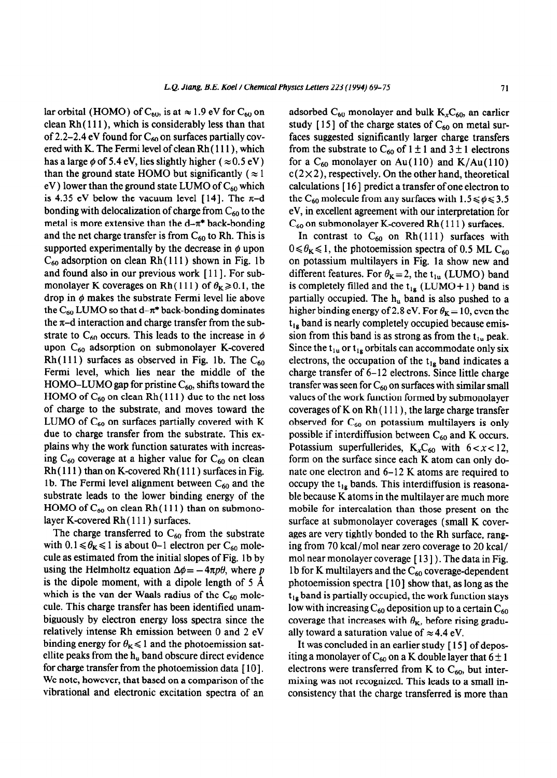lar orbital (HOMO) of  $C_{60}$ , is at  $\approx 1.9$  eV for  $C_{60}$  on clean Rh( **1 1 1** ), which is considerably less than that of 2.2-2.4 eV found for  $C_{60}$  on surfaces partially covered with K. The Fermi level of clean Rh ( 111) , which has a large  $\phi$  of 5.4 eV, lies slightly higher ( $\approx$  0.5 eV) than the ground state HOMO but significantly ( $\approx$  1 eV) lower than the ground state LUMO of  $C_{60}$  which is 4.35 eV below the vacuum level [14]. The  $\pi$ -d bonding with delocalization of charge from  $C_{60}$  to the metal is more extensive than the  $d-\pi^*$  back-bonding and the net charge transfer is from  $C_{60}$  to Rh. This is supported experimentally by the decrease in  $\phi$  upon

 $C_{60}$  adsorption on clean Rh(111) shown in Fig. 1b and found also in our previous work [11]. For submonolayer K coverages on Rh(111) of  $\theta_K \ge 0.1$ , the drop in  $\phi$  makes the substrate Fermi level lie above the C<sub>60</sub> LUMO so that d- $\pi^*$  back-bonding dominates the  $\pi$ -d interaction and charge transfer from the substrate to  $C_{60}$  occurs. This leads to the increase in  $\phi$ upon  $C_{60}$  adsorption on submonolayer K-covered Rh( $111$ ) surfaces as observed in Fig. 1b. The  $C_{60}$ Fermi level, which lies near the middle of the HOMO–LUMO gap for pristine  $C_{60}$ , shifts toward the HOMO of  $C_{60}$  on clean Rh(111) due to the net loss of charge to the substrate, and moves toward the LUMO of  $C_{60}$  on surfaces partially covered with K due to charge transfer from the substrate. This explains why the work function saturates with increasing  $C_{60}$  coverage at a higher value for  $C_{60}$  on clean  $Rh(111)$  than on K-covered  $Rh(111)$  surfaces in Fig. 1b. The Fermi level alignment between  $C_{60}$  and the substrate leads to the lower binding energy of the HOMO of  $C_{60}$  on clean Rh(111) than on submonolayer K-covered Rh ( 111) surfaces.

The charge transferred to  $C_{60}$  from the substrate with  $0.1 \le \theta_{\text{K}} \le 1$  is about 0-1 electron per C<sub>60</sub> molecule as estimated from the initial slopes of Fig. 1b by using the Helmholtz equation  $\Delta\phi = -4\pi p\theta$ , where p is the dipole moment, with a dipole length of  $5 \text{ Å}$ which is the van der Waals radius of the  $C_{60}$  molecule. This charge transfer has been identified unambiguously by electron energy loss spectra since the relatively intense Rh emission between 0 and 2 eV binding energy for  $\theta_K \le 1$  and the photoemission satellite peaks from the  $h_u$  band obscure direct evidence for charge transfer from the photoemission data [10]. We note, however, that based on a comparison of the vibrational and electronic excitation spectra of an

adsorbed  $C_{60}$  monolayer and bulk  $K_{x}C_{60}$ , an earlier study [15] of the charge states of  $C_{60}$  on metal surfaces suggested significantly larger charge transfers from the substrate to  $C_{60}$  of  $1 \pm 1$  and  $3 \pm 1$  electrons for a  $C_{60}$  monolayer on Au(110) and K/Au(110)  $c(2\times 2)$ , respectively. On the other hand, theoretical calculations [ 16 ] predict a transfer of one electron to the C<sub>60</sub> molecule from any surfaces with  $1.5 \le \phi \le 3.5$ eV, in excellent agreement with our interpretation for  $C_{60}$  on submonolayer K-covered Rh $(111)$  surfaces.

In contrast to  $C_{60}$  on Rh(111) surfaces with  $0 \le \theta_{\rm K} \le 1$ , the photoemission spectra of 0.5 ML C<sub>60</sub> on potassium multilayers in Fig. la show new and different features. For  $\theta_{\mathbf{K}} = 2$ , the t<sub>1u</sub> (LUMO) band is completely filled and the  $t_{1g}$  (LUMO + 1) band is partially occupied. The  $h_u$  band is also pushed to a higher binding energy of 2.8 eV. For  $\theta_{K} = 10$ , even the  $t_{1g}$  band is nearly completely occupied because emission from this band is as strong as from the  $t_{1u}$  peak. Since the  $t_{1u}$  or  $t_{1g}$  orbitals can accommodate only six electrons, the occupation of the  $t_{1g}$  band indicates a charge transfer of 6-12 electrons. Since little charge transfer was seen for  $C_{60}$  on surfaces with similar small values of the work function formed by submonolayer coverages of K on  $Rh(111)$ , the large charge transfer observed for  $C_{60}$  on potassium multilayers is only possible if interdiffusion between  $C_{60}$  and K occurs. Potassium superfullerides,  $K_xC_{60}$  with  $6 < x < 12$ , form on the surface since each K atom can only donate one electron and 6-12 K atoms are required to occupy the  $t_{1g}$  bands. This interdiffusion is reasonable because K atoms in the multilayer are much more mobile for intercalation than those present on the surface at submonolayer coverages (small K coverages are very tightly bonded to the Rh surface, ranging from 70 kcal/mol near zero coverage to 20 kcal/ mol near monolayer coverage [13]). The data in Fig. 1b for K multilayers and the  $C_{60}$  coverage-dependent photoemission spectra [ lo] show that, as long as the  $t_{1g}$  band is partially occupied, the work function stays low with increasing  $C_{60}$  deposition up to a certain  $C_{60}$ coverage that increases with  $\theta_{\mathbf{K}}$ , before rising gradually toward a saturation value of  $\approx$  4.4 eV.

It was concluded in an earlier study [ 15 ] of depositing a monolayer of  $C_{60}$  on a K double layer that  $6 \pm 1$ electrons were transferred from K to  $C_{60}$ , but intermixing was not recognized. This leads to a small inconsistency that the charge transferred is more than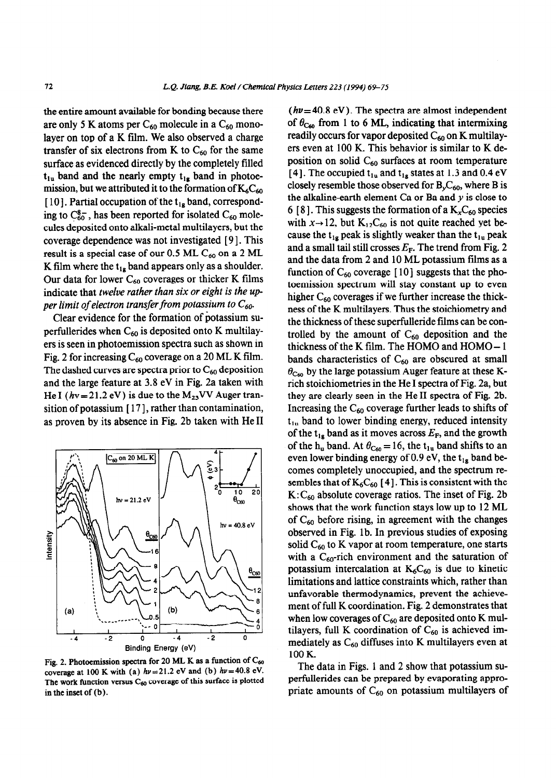the entire amount available for bonding because there are only 5 K atoms per  $C_{60}$  molecule in a  $C_{60}$  monolayer on top of a K film. We also observed a charge transfer of six electrons from K to  $C_{60}$  for the same surface as evidenced directly by the completely filled  $t_{1u}$  band and the nearly empty  $t_{1g}$  band in photoemission, but we attributed it to the formation of  $K_{6}C_{60}$ [10]. Partial occupation of the  $t_{1g}$  band, corresponding to  $C_{60}^{8-}$ , has been reported for isolated  $C_{60}$  molecules deposited onto alkali-metal multilayers, but the coverage dependence was not investigated [ 9 1. This result is a special case of our 0.5 ML  $C_{60}$  on a 2 ML K film where the  $t_{1g}$  band appears only as a shoulder. Our data for lower  $C_{60}$  coverages or thicker K films indicate that *twelve rather than six or eight is the up per limit of electron transfer from potassium to* Go.

Clear evidence for the formation of potassium superfullerides when  $C_{60}$  is deposited onto K multilayers is seen in photoemission spectra such as shown in Fig. 2 for increasing  $C_{60}$  coverage on a 20 ML K film. The dashed curves are spectra prior to  $C_{60}$  deposition and the large feature at 3.8 eV in Fig. 2a taken with He I  $(hv=21.2$  eV) is due to the  $M_{23}VV$  Auger transition of potassium  $[17]$ , rather than contamination, as proven by its absence in Fig. 2b taken with He II



Fig. 2. Photoemission spectra for 20 ML K as a function of C<sub>60</sub> **coverage at 100 K with (a)**  $h\nu = 21.2$  **eV and (b)**  $h\nu = 40.8$  **eV.** The work function versus C<sub>60</sub> coverage of this surface is plotted in the inset of (b).

 $(h\nu= 40.8$  eV). The spectra are almost independent of  $\theta_{\text{C0}}$  from 1 to 6 ML, indicating that intermixing readily occurs for vapor deposited  $C_{60}$  on K multilayers even at 100 K. This behavior is similar to K deposition on solid  $C_{60}$  surfaces at room temperature [4]. The occupied  $t<sub>1u</sub>$  and  $t<sub>1g</sub>$  states at 1.3 and 0.4 eV closely resemble those observed for  $B_vC_{60}$ , where B is the alkaline-earth element Ca or Ba and  $y$  is close to 6 [8]. This suggests the formation of a  $K_{x}C_{60}$  species with  $x \rightarrow 12$ , but K<sub>12</sub>C<sub>60</sub> is not quite reached yet because the  $t_{1g}$  peak is slightly weaker than the  $t_{1u}$  peak and a small tail still crosses  $E_F$ . The trend from Fig. 2 and the data from 2 and 10 ML potassium films as a function of  $C_{60}$  coverage [10] suggests that the photoemission spectrum will stay constant up to even higher  $C_{60}$  coverages if we further increase the thickness of the K multilayers. Thus the stoichiometry and the thickness of these superfulleride films can be controlled by the amount of  $C_{60}$  deposition and the thickness of the K film. The HOMO and HOMO-1 bands characteristics of  $C_{60}$  are obscured at small  $\theta_{\text{C}_{60}}$  by the large potassium Auger feature at these Krich stoichiometries in the He I spectra of Fig. 2a, but they are clearly seen in the He II spectra of Fig. 2b. Increasing the  $C_{60}$  coverage further leads to shifts of  $t<sub>1u</sub>$  band to lower binding energy, reduced intensity of the t<sub>1g</sub> band as it moves across  $E_F$ , and the growth of the h<sub>u</sub> band. At  $\theta_{\text{C}_{60}} = 16$ , the t<sub>1u</sub> band shifts to an even lower binding energy of 0.9 eV, the  $t_{1g}$  band becomes completely unoccupied, and the spectrum resembles that of  $K_6C_{60}$  [4]. This is consistent with the  $K: C_{60}$  absolute coverage ratios. The inset of Fig. 2b shows that the work function stays low up to 12 ML of  $C_{60}$  before rising, in agreement with the changes observed in Fig. lb. In previous studies of exposing solid  $C_{60}$  to K vapor at room temperature, one starts with a  $C_{60}$ -rich environment and the saturation of potassium intercalation at  $K_6C_{60}$  is due to kinetic limitations and lattice constraints which, rather than unfavorable thermodynamics, prevent the achievement of full K coordination. Fig. 2 demonstrates that when low coverages of  $C_{60}$  are deposited onto K multilayers, full K coordination of  $C_{60}$  is achieved immediately as  $C_{60}$  diffuses into K multilayers even at 100 K.

The data in Figs. 1 and 2 show that potassium superfullerides can be prepared by evaporating appropriate amounts of  $C_{60}$  on potassium multilayers of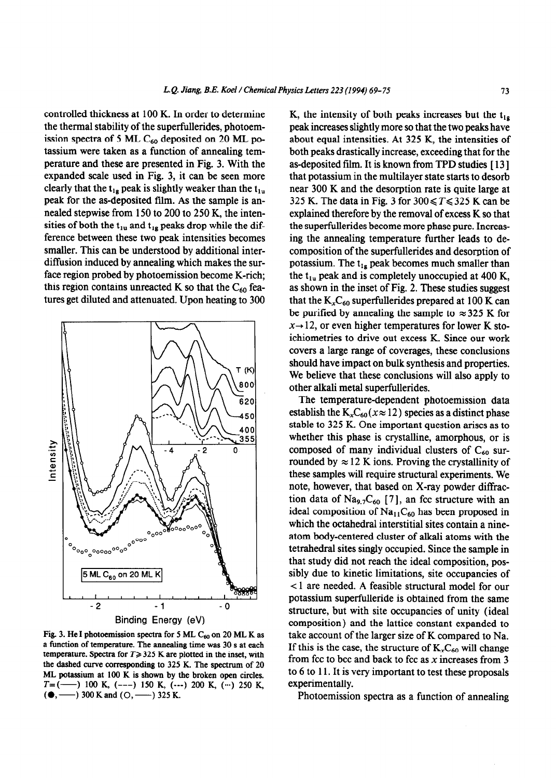controlled thickness at 100 K. In order to determine the thermal stability of the superfullerides, photoemission spectra of 5 ML  $C_{60}$  deposited on 20 ML potassium were taken as a function of annealing temperature and these are presented in Fig. 3. With the expanded scale used in Fig. 3, it can be seen more clearly that the  $t_{1g}$  peak is slightly weaker than the  $t_{1u}$ peak for the as-deposited film. As the sample is annealed stepwise from 150 to 200 to 250 K, the intensities of both the  $t_{1u}$  and  $t_{1g}$  peaks drop while the difference between these two peak intensities becomes smaller. This can be understood by additional interdiffusion induced by annealing which makes the surface region probed by photoemission become K-rich; this region contains unreacted K so that the  $C_{60}$  features get diluted and attenuated. Upon heating to 300



Fig. 3. He I photoemission spectra for 5 ML  $C_{60}$  on 20 ML K as a function of temperature. The annealing time was 30 s at each temperature. Spectra for  $T \geq 325$  K are plotted in the inset, with the dashed curve corresponding to 325 K. The spectrum of 20 ML potassium at 100 K is shown by the broken open circles.  $T=(-\t-) 100$  K, (---) 150 K, (---) 200 K, (...) 250 K,  $($   $\bullet$ ,  $\leftarrow$  300 K and (O,  $\leftarrow$  325 K.

K, the intensity of both peaks increases but the  $t_{1g}$ peak increases slightly more so that the two peaks have about equal intensities. At 325 K, the intensities of both peaks drastically increase, exceeding that for the as-deposited film. It is known from TPD studies [ 13 ] that potassium in the multilayer state starts to desorb near 300 K and the desorption rate is quite large at 325 K. The data in Fig. 3 for  $300 \le T \le 325$  K can be explained therefore by the removal of excess K so that the superfullerides become more phase pure. Increasing the annealing temperature further leads to decomposition of the superfullerides and desorption of potassium. The  $t_{1g}$  peak becomes much smaller than the  $t_{1u}$  peak and is completely unoccupied at 400 K, as shown in the inset of Fig. 2. These studies suggest that the  $K_xC_{60}$  superfullerides prepared at 100 K can be purified by annealing the sample to  $\approx 325$  K for  $x \rightarrow 12$ , or even higher temperatures for lower K stoichiometries to drive out excess K. Since our work covers a large range of coverages, these conclusions should have impact on bulk synthesis and properties. We believe that these conclusions will also apply to other alkali metal superfullerides.

The temperature-dependent photoemission data establish the  $K_xC_{60}(x \approx 12)$  species as a distinct phase stable to 325 K. One important question arises as to whether this phase is crystalline, amorphous, or is composed of many individual clusters of  $C_{60}$  surrounded by  $\approx 12$  K ions. Proving the crystallinity of these samples will require structural experiments. We note, however, that based on X-ray powder diffraction data of Na<sub>9.7</sub>C<sub>60</sub> [7], an fcc structure with an ideal composition of  $Na<sub>11</sub>C<sub>60</sub>$  has been proposed in which the octahedral interstitial sites contain a nineatom body-centered cluster of alkali atoms with the tetrahedral sites singly occupied. Since the sample in that study did not reach the ideal composition, possibly due to kinetic limitations, site occupancies of < 1 are needed. A feasible structural model for our potassium superfulleride is obtained from the same structure, but with site occupancies of unity (ideal composition) and the lattice constant expanded to take account of the larger size of K compared to Na. If this is the case, the structure of  $K<sub>x</sub>C<sub>60</sub>$  will change from fcc to bcc and back to fcc as  $x$  increases from 3 to 6 to 11. It is very important to test these proposals experimentally.

Photoemission spectra as a function of annealing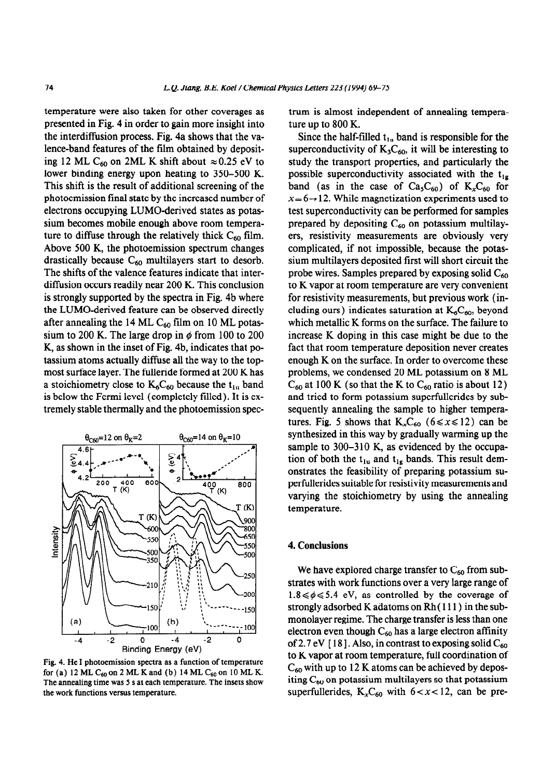temperature were also taken for other coverages as presented in Fig. 4 in order to gain more insight into the interdiffusion process. Fig. 4a shows that the valence-band features of the film obtained by depositing 12 ML C<sub>60</sub> on 2ML K shift about  $\approx 0.25$  eV to lower binding energy upon heating to 350-500 K. This shift is the result of additional screening of the photoemission final state by the increased number of electrons occupying LUMO-derived states as potassium becomes mobile enough above room temperature to diffuse through the relatively thick  $C_{60}$  film. Above 500 K, the photoemission spectrum changes drastically because  $C_{60}$  multilayers start to desorb. The shifts of the valence features indicate that interdiffusion occurs readily near 200 K. This conclusion is strongly supported by the spectra in Fig. 4b where the LUMO-derived feature can be observed directly after annealing the 14 ML  $C_{60}$  film on 10 ML potassium to 200 K. The large drop in  $\phi$  from 100 to 200 K, as shown in the inset of Fig. 4b, indicates that potassium atoms actually diffuse all the way to the topmost surface layer. The fulleride formed at 200 K has a stoichiometry close to  $K_6C_{60}$  because the  $t_{1n}$  band is below the Fermi level (completely tilled). It is extremely stable thermally and the photoemission spec-



Fig. 4. He I photoemission spectra as a function of temperature for (a) 12 ML  $C_{60}$  on 2 ML K and (b) 14 ML  $C_{60}$  on 10 ML K. The annealing time was 5 s at each temperature. The insets show the work functions versus temperature.

trum is almost independent of annealing temperature up to 800 K.

Since the half-filled  $t_{1u}$  band is responsible for the superconductivity of  $K_3C_{60}$ , it will be interesting to study the transport properties, and particularly the possible superconductivity associated with the  $t_{1g}$ band (as in the case of  $Ca_5C_{60}$ ) of  $K_xC_{60}$  for  $x=6 \rightarrow 12$ . While magnetization experiments used to test superconductivity can be performed for samples prepared by depositing  $C_{60}$  on potassium multilayers, resistivity measurements are obviously very complicated, if not impossible, because the potassium multilayers deposited first will short circuit the probe wires. Samples prepared by exposing solid  $C_{60}$ to K vapor at room temperature are very convenient for resistivity measurements, but previous work (including ours) indicates saturation at  $K_6C_{60}$ , beyond which metallic K forms on the surface. The failure to increase K doping in this case might be due to the fact that room temperature deposition never creates enough K on the surface. In order to overcome these problems, we condensed 20 ML potassium on 8 ML  $C_{60}$  at 100 K (so that the K to  $C_{60}$  ratio is about 12) and tried to form potassium superfullerides by subsequently annealing the sample to higher temperatures. Fig. 5 shows that  $K_{x}C_{60}$  (6  $\le x \le 12$ ) can be synthesized in this way by gradually warming up the sample to 300-310 K, as evidenced by the occupation of both the  $t_{1u}$  and  $t_{1g}$  bands. This result demonstrates the feasibility of preparing potassium superfullerides suitable for resistivity measurements and varying the stoichiometry by using the annealing temperature.

## 4. **Conclusions**

We have explored charge transfer to  $C_{60}$  from substrates with work functions over a very large range of  $1.8 \le \phi \le 5.4$  eV, as controlled by the coverage of strongly adsorbed K adatoms on Rh ( 111) in the submonolayer regime. The charge transfer is less than one electron even though  $C_{60}$  has a large electron affinity of 2.7 eV [18]. Also, in contrast to exposing solid  $C_{60}$ to K vapor at room temperature, full coordination of  $C_{60}$  with up to 12 K atoms can be achieved by depositing  $C_{60}$  on potassium multilayers so that potassium superfullerides,  $K_x C_{60}$  with  $6 < x < 12$ , can be pre-